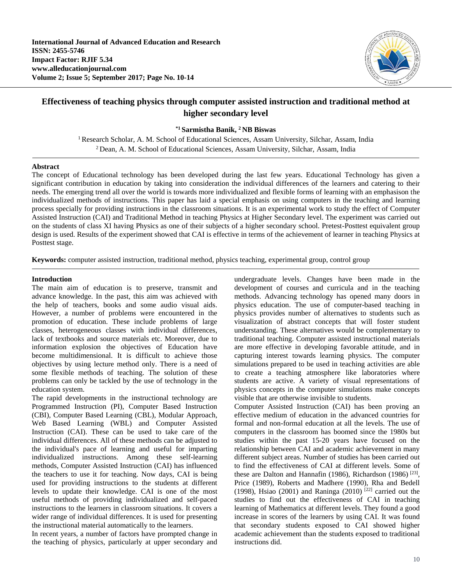

# **Effectiveness of teaching physics through computer assisted instruction and traditional method at higher secondary level**

## **\*1 Sarmistha Banik, <sup>2</sup> NB Biswas**

<sup>1</sup> Research Scholar, A. M. School of Educational Sciences, Assam University, Silchar, Assam, India <sup>2</sup>Dean, A. M. School of Educational Sciences, Assam University, Silchar, Assam, India

#### **Abstract**

The concept of Educational technology has been developed during the last few years. Educational Technology has given a significant contribution in education by taking into consideration the individual differences of the learners and catering to their needs. The emerging trend all over the world is towards more individualized and flexible forms of learning with an emphasison the individualized methods of instructions. This paper has laid a special emphasis on using computers in the teaching and learning process specially for providing instructions in the classroom situations. It is an experimental work to study the effect of Computer Assisted Instruction (CAI) and Traditional Method in teaching Physics at Higher Secondary level. The experiment was carried out on the students of class XI having Physics as one of their subjects of a higher secondary school. Pretest-Posttest equivalent group design is used. Results of the experiment showed that CAI is effective in terms of the achievement of learner in teaching Physics at Posttest stage.

**Keywords:** computer assisted instruction, traditional method, physics teaching, experimental group, control group

#### **Introduction**

The main aim of education is to preserve, transmit and advance knowledge. In the past, this aim was achieved with the help of teachers, books and some audio visual aids. However, a number of problems were encountered in the promotion of education. These include problems of large classes, heterogeneous classes with individual differences, lack of textbooks and source materials etc. Moreover, due to information explosion the objectives of Education have become multidimensional. It is difficult to achieve those objectives by using lecture method only. There is a need of some flexible methods of teaching. The solution of these problems can only be tackled by the use of technology in the education system.

The rapid developments in the instructional technology are Programmed Instruction (PI), Computer Based Instruction (CBI), Computer Based Learning (CBL), Modular Approach, Web Based Learning (WBL) and Computer Assisted Instruction (CAI). These can be used to take care of the individual differences. All of these methods can be adjusted to the individual's pace of learning and useful for imparting individualized instructions. Among these self-learning methods, Computer Assisted Instruction (CAI) has influenced the teachers to use it for teaching. Now days, CAI is being used for providing instructions to the students at different levels to update their knowledge. CAI is one of the most useful methods of providing individualized and self-paced instructions to the learners in classroom situations. It covers a wider range of individual differences. It is used for presenting the instructional material automatically to the learners.

In recent years, a number of factors have prompted change in the teaching of physics, particularly at upper secondary and undergraduate levels. Changes have been made in the development of courses and curricula and in the teaching methods. Advancing technology has opened many doors in physics education. The use of computer-based teaching in physics provides number of alternatives to students such as visualization of abstract concepts that will foster student understanding. These alternatives would be complementary to traditional teaching. Computer assisted instructional materials are more effective in developing favorable attitude, and in capturing interest towards learning physics. The computer simulations prepared to be used in teaching activities are able to create a teaching atmosphere like laboratories where students are active. A variety of visual representations of physics concepts in the computer simulations make concepts visible that are otherwise invisible to students.

Computer Assisted Instruction (CAI) has been proving an effective medium of education in the advanced countries for formal and non-formal education at all the levels. The use of computers in the classroom has boomed since the 1980s but studies within the past 15-20 years have focused on the relationship between CAI and academic achievement in many different subject areas. Number of studies has been carried out to find the effectiveness of CAI at different levels. Some of these are Dalton and Hannafin (1986), Richardson (1986)<sup>[23]</sup>, Price (1989), Roberts and Madhere (1990), Rha and Bedell (1998), Hsiao (2001) and Raninga (2010)<sup>[22]</sup> carried out the studies to find out the effectiveness of CAI in teaching learning of Mathematics at different levels. They found a good increase in scores of the learners by using CAI. It was found that secondary students exposed to CAI showed higher academic achievement than the students exposed to traditional instructions did.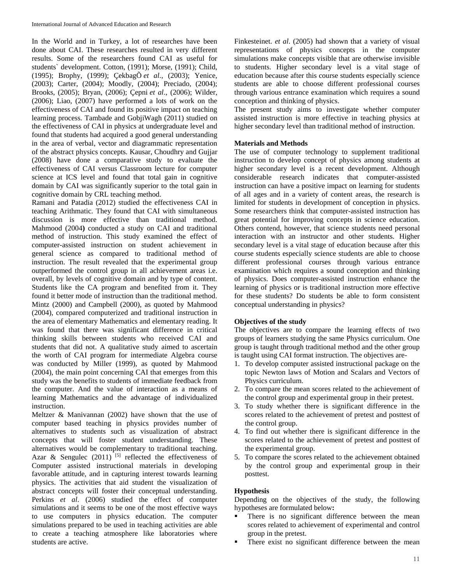In the World and in Turkey, a lot of researches have been done about CAI. These researches resulted in very different results. Some of the researchers found CAI as useful for students` development. Cotton, (1991); Morse, (1991); Child, (1995); Brophy, (1999); ÇekbagÕ *et al*., (2003); Yenice, (2003); Carter, (2004); Moodly, (2004); Preciado, (2004); Brooks, (2005); Bryan, (2006); Çepni *et al*., (2006); Wilder, (2006); Liao, (2007) have performed a lots of work on the effectiveness of CAI and found its positive impact on teaching learning process. Tambade and GobjiWagh (2011) studied on the effectiveness of CAI in physics at undergraduate level and found that students had acquired a good general understanding in the area of verbal, vector and diagrammatic representation of the abstract physics concepts. Kausar, Choudhry and Gujjar (2008) have done a comparative study to evaluate the effectiveness of CAI versus Classroom lecture for computer science at ICS level and found that total gain in cognitive domain by CAI was significantly superior to the total gain in cognitive domain by CRL teaching method.

Ramani and Patadia (2012) studied the effectiveness CAI in teaching Arithmatic. They found that CAI with simultaneous discussion is more effective than traditional method. Mahmood (2004**)** conducted a study on CAI and traditional method of instruction. This study examined the effect of computer-assisted instruction on student achievement in general science as compared to traditional method of instruction. The result revealed that the experimental group outperformed the control group in all achievement areas i.e. overall, by levels of cognitive domain and by type of content. Students like the CA program and benefited from it. They found it better mode of instruction than the traditional method. Mintz (2000) and Campbell (2000), as quoted by Mahmood (2004), compared computerized and traditional instruction in the area of elementary Mathematics and elementary reading. It was found that there was significant difference in critical thinking skills between students who received CAI and students that did not. A qualitative study aimed to ascertain the worth of CAI program for intermediate Algebra course was conducted by Miller (1999), as quoted by Mahmood (2004), the main point concerning CAI that emerges from this study was the benefits to students of immediate feedback from the computer. And the value of interaction as a means of learning Mathematics and the advantage of individualized instruction.

Meltzer & Manivannan (2002) have shown that the use of computer based teaching in physics provides number of alternatives to students such as visualization of abstract concepts that will foster student understanding. These alternatives would be complementary to traditional teaching. Azar & Sengulec  $(2011)$ <sup>[5]</sup> reflected the effectiveness of Computer assisted instructional materials in developing favorable attitude, and in capturing interest towards learning physics. The activities that aid student the visualization of abstract concepts will foster their conceptual understanding. Perkins *et al*. (2006) studied the effect of computer simulations and it seems to be one of the most effective ways to use computers in physics education. The computer simulations prepared to be used in teaching activities are able to create a teaching atmosphere like laboratories where students are active.

Finkesteinet. *et al*. (2005) had shown that a variety of visual representations of physics concepts in the computer simulations make concepts visible that are otherwise invisible to students. Higher secondary level is a vital stage of education because after this course students especially science students are able to choose different professional courses through various entrance examination which requires a sound conception and thinking of physics.

The present study aims to investigate whether computer assisted instruction is more effective in teaching physics at higher secondary level than traditional method of instruction.

## **Materials and Methods**

The use of computer technology to supplement traditional instruction to develop concept of physics among students at higher secondary level is a recent development. Although considerable research indicates that computer-assisted instruction can have a positive impact on learning for students of all ages and in a variety of content areas, the research is limited for students in development of conception in physics. Some researchers think that computer-assisted instruction has great potential for improving concepts in science education. Others contend, however, that science students need personal interaction with an instructor and other students. Higher secondary level is a vital stage of education because after this course students especially science students are able to choose different professional courses through various entrance examination which requires a sound conception and thinking of physics. Does computer-assisted instruction enhance the learning of physics or is traditional instruction more effective for these students? Do students be able to form consistent conceptual understanding in physics?

## **Objectives of the study**

The objectives are to compare the learning effects of two groups of learners studying the same Physics curriculum. One group is taught through traditional method and the other group is taught using CAI format instruction. The objectives are-

- 1. To develop computer assisted instructional package on the topic Newton laws of Motion and Scalars and Vectors of Physics curriculum.
- 2. To compare the mean scores related to the achievement of the control group and experimental group in their pretest.
- 3. To study whether there is significant difference in the scores related to the achievement of pretest and posttest of the control group.
- 4. To find out whether there is significant difference in the scores related to the achievement of pretest and posttest of the experimental group.
- 5. To compare the scores related to the achievement obtained by the control group and experimental group in their posttest.

## **Hypothesis**

Depending on the objectives of the study, the following hypotheses are formulated below**:**

- There is no significant difference between the mean scores related to achievement of experimental and control group in the pretest.
- There exist no significant difference between the mean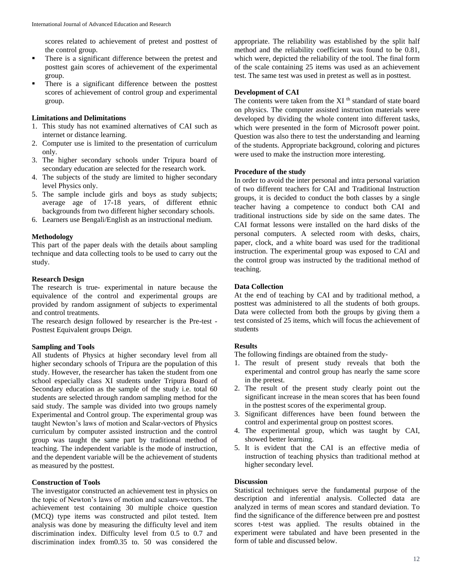scores related to achievement of pretest and posttest of the control group.

- There is a significant difference between the pretest and posttest gain scores of achievement of the experimental group.
- There is a significant difference between the posttest scores of achievement of control group and experimental group.

## **Limitations and Delimitations**

- 1. This study has not examined alternatives of CAI such as internet or distance learning.
- 2. Computer use is limited to the presentation of curriculum only.
- 3. The higher secondary schools under Tripura board of secondary education are selected for the research work.
- 4. The subjects of the study are limited to higher secondary level Physics only.
- 5. The sample include girls and boys as study subjects; average age of 17-18 years, of different ethnic backgrounds from two different higher secondary schools.
- 6. Learners use Bengali/English as an instructional medium.

#### **Methodology**

This part of the paper deals with the details about sampling technique and data collecting tools to be used to carry out the study.

## **Research Design**

The research is true- experimental in nature because the equivalence of the control and experimental groups are provided by random assignment of subjects to experimental and control treatments.

The research design followed by researcher is the Pre-test - Posttest Equivalent groups Deign*.*

#### **Sampling and Tools**

All students of Physics at higher secondary level from all higher secondary schools of Tripura are the population of this study. However, the researcher has taken the student from one school especially class XI students under Tripura Board of Secondary education as the sample of the study i.e. total 60 students are selected through random sampling method for the said study. The sample was divided into two groups namely Experimental and Control group. The experimental group was taught Newton's laws of motion and Scalar-vectors of Physics curriculum by computer assisted instruction and the control group was taught the same part by traditional method of teaching. The independent variable is the mode of instruction, and the dependent variable will be the achievement of students as measured by the posttest.

#### **Construction of Tools**

The investigator constructed an achievement test in physics on the topic of Newton's laws of motion and scalars-vectors. The achievement test containing 30 multiple choice question (MCQ) type items was constructed and pilot tested. Item analysis was done by measuring the difficulty level and item discrimination index. Difficulty level from 0.5 to 0.7 and discrimination index from0.35 to. 50 was considered the appropriate. The reliability was established by the split half method and the reliability coefficient was found to be 0.81, which were, depicted the reliability of the tool. The final form of the scale containing 25 items was used as an achievement test. The same test was used in pretest as well as in posttest.

## **Development of CAI**

The contents were taken from the XI<sup>th</sup> standard of state board on physics. The computer assisted instruction materials were developed by dividing the whole content into different tasks, which were presented in the form of Microsoft power point. Question was also there to test the understanding and learning of the students. Appropriate background, coloring and pictures were used to make the instruction more interesting.

#### **Procedure of the study**

In order to avoid the inter personal and intra personal variation of two different teachers for CAI and Traditional Instruction groups, it is decided to conduct the both classes by a single teacher having a competence to conduct both CAI and traditional instructions side by side on the same dates. The CAI format lessons were installed on the hard disks of the personal computers. A selected room with desks, chairs, paper, clock, and a white board was used for the traditional instruction. The experimental group was exposed to CAI and the control group was instructed by the traditional method of teaching.

## **Data Collection**

At the end of teaching by CAI and by traditional method, a posttest was administered to all the students of both groups. Data were collected from both the groups by giving them a test consisted of 25 items, which will focus the achievement of students

## **Results**

The following findings are obtained from the study-

- 1. The result of present study reveals that both the experimental and control group has nearly the same score in the pretest.
- 2. The result of the present study clearly point out the significant increase in the mean scores that has been found in the posttest scores of the experimental group.
- 3. Significant differences have been found between the control and experimental group on posttest scores.
- 4. The experimental group, which was taught by CAI, showed better learning.
- 5. It is evident that the CAI is an effective media of instruction of teaching physics than traditional method at higher secondary level.

#### **Discussion**

Statistical techniques serve the fundamental purpose of the description and inferential analysis. Collected data are analyzed in terms of mean scores and standard deviation. To find the significance of the difference between pre and posttest scores t-test was applied. The results obtained in the experiment were tabulated and have been presented in the form of table and discussed below.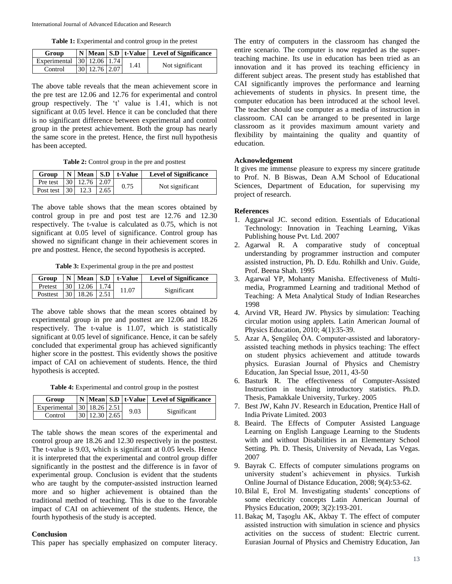**Table 1:** Experimental and control group in the pretest

| Group                      |               |  |      | $\vert N \vert$ Mean $\vert$ S.D $\vert t$ -Value $\vert$ Level of Significance |
|----------------------------|---------------|--|------|---------------------------------------------------------------------------------|
| Experimental 30 12.06 1.74 |               |  | 1.41 | Not significant                                                                 |
| Control                    | 30 12.76 2.07 |  |      |                                                                                 |

The above table reveals that the mean achievement score in the pre test are 12.06 and 12.76 for experimental and control group respectively. The 't' value is 1.41, which is not significant at 0.05 level. Hence it can be concluded that there is no significant difference between experimental and control group in the pretest achievement. Both the group has nearly the same score in the pretest. Hence, the first null hypothesis has been accepted.

**Table 2:** Control group in the pre and posttest

|                            |  | Group $\vert N \vert$ Mean $\vert$ S.D $\vert$ t-Value | <b>Level of Significance</b> |
|----------------------------|--|--------------------------------------------------------|------------------------------|
| Pre test 30 12.76 2.07     |  | 0.75                                                   | Not significant              |
| Post test $ 30 $ 12.3 2.65 |  |                                                        |                              |

The above table shows that the mean scores obtained by control group in pre and post test are 12.76 and 12.30 respectively. The t-value is calculated as 0.75, which is not significant at 0.05 level of significance. Control group has showed no significant change in their achievement scores in pre and posttest. Hence, the second hypothesis is accepted.

**Table 3:** Experimental group in the pre and posttest

|                           |  |  | Group $\vert N \vert$ Mean $\vert$ S.D $\vert$ t-Value $\vert$ | <b>Level of Significance</b> |
|---------------------------|--|--|----------------------------------------------------------------|------------------------------|
| Pretest 30   12.06   1.74 |  |  | 11.07                                                          | Significant                  |
| Posttest 30 18.26 2.51    |  |  |                                                                |                              |

The above table shows that the mean scores obtained by experimental group in pre and posttest are 12.06 and 18.26 respectively. The t-value is 11.07, which is statistically significant at 0.05 level of significance. Hence, it can be safely concluded that experimental group has achieved significantly higher score in the posttest. This evidently shows the positive impact of CAI on achievement of students. Hence, the third hypothesis is accepted.

**Table 4:** Experimental and control group in the posttest

| Group                      |               |  |      | N   Mean   S.D   t-Value   Level of Significance |
|----------------------------|---------------|--|------|--------------------------------------------------|
| Experimental 30 18.26 2.51 |               |  | 9.03 | Significant                                      |
| Control                    | 30 12.30 2.65 |  |      |                                                  |

The table shows the mean scores of the experimental and control group are 18.26 and 12.30 respectively in the posttest. The t-value is 9.03, which is significant at 0.05 levels. Hence it is interpreted that the experimental and control group differ significantly in the posttest and the difference is in favor of experimental group. Conclusion is evident that the students who are taught by the computer-assisted instruction learned more and so higher achievement is obtained than the traditional method of teaching. This is due to the favorable impact of CAI on achievement of the students. Hence, the fourth hypothesis of the study is accepted.

#### **Conclusion**

This paper has specially emphasized on computer literacy.

The entry of computers in the classroom has changed the entire scenario. The computer is now regarded as the superteaching machine. Its use in education has been tried as an innovation and it has proved its teaching efficiency in different subject areas. The present study has established that CAI significantly improves the performance and learning achievements of students in physics. In present time, the computer education has been introduced at the school level. The teacher should use computer as a media of instruction in classroom. CAI can be arranged to be presented in large classroom as it provides maximum amount variety and flexibility by maintaining the quality and quantity of education.

## **Acknowledgement**

It gives me immense pleasure to express my sincere gratitude to Prof. N. B Biswas, Dean A.M School of Educational Sciences, Department of Education, for supervising my project of research.

## **References**

- 1. Aggarwal JC. second edition. Essentials of Educational Technology: Innovation in Teaching Learning, Vikas Publishing house Pvt. Ltd. 2007
- 2. Agarwal R. A comparative study of conceptual understanding by programmer instruction and computer assisted instruction, Ph. D. Edu. Rohilkh and Univ. Guide, Prof. Beena Shah. 1995
- 3. Agarwal YP, Mohanty Manisha. Effectiveness of Multimedia, Programmed Learning and traditional Method of Teaching: A Meta Analytical Study of Indian Researches 1998
- 4. Arvind VR, Heard JW. Physics by simulation: Teaching circular motion using applets*.* Latin American Journal of Physics Education, 2010; 4(1):35-39.
- 5. Azar A, Şengüleç ÖA. Computer-assisted and laboratoryassisted teaching methods in physics teaching: The effect on student physics achievement and attitude towards physics. Eurasian Journal of Physics and Chemistry Education, Jan Special Issue, 2011, 43-50
- 6. Basturk R. The effectiveness of Computer-Assisted Instruction in teaching introductory statistics. Ph.D. Thesis, Pamakkale University, Turkey. 2005
- 7. Best JW, Kahn JV. Research in Education, Prentice Hall of India Private Limited. 2003
- 8. Beaird. The Effects of Computer Assisted Language Learning on English Language Learning to the Students with and without Disabilities in an Elementary School Setting*.* Ph. D. Thesis, University of Nevada, Las Vegas. 2007
- 9. Bayrak C. Effects of computer simulations programs on university student's achievement in physics. Turkish Online Journal of Distance Education, 2008; 9(4):53-62.
- 10. Bilal E, Erol M. Investigating students' conceptions of some electricity concepts Latin American Journal of Physics Education, 2009; 3(2):193-201.
- 11. Bakaç M, Taşoglu AK, Akbay T. The effect of computer assisted instruction with simulation in science and physics activities on the success of student: Electric current. Eurasian Journal of Physics and Chemistry Education, Jan